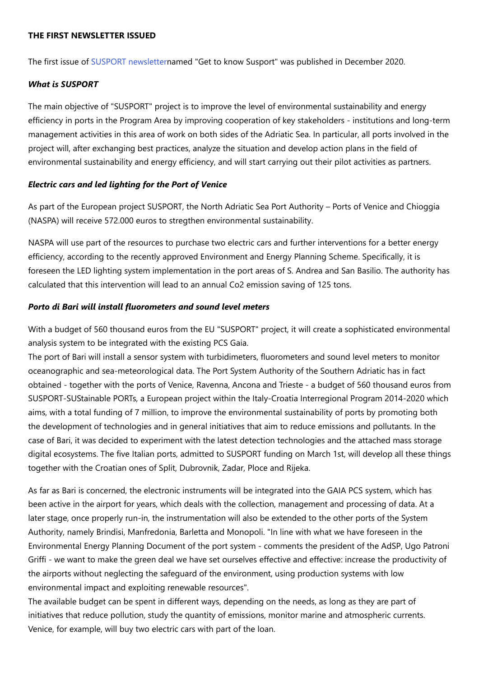#### **THE FIRST NEWSLETTER ISSUED**

The first issue of [SUSPORT newslettern](http://%20https//cutt.ly/rj9gPFV%C2%A0)amed "Get to know Susport" was published in December 2020.

#### *What is SUSPORT*

The main objective of "SUSPORT" project is to improve the level of environmental sustainability and energy efficiency in ports in the Program Area by improving cooperation of key stakeholders - institutions and long-term management activities in this area of work on both sides of the Adriatic Sea. In particular, all ports involved in the project will, after exchanging best practices, analyze the situation and develop action plans in the field of environmental sustainability and energy efficiency, and will start carrying out their pilot activities as partners.

#### *Electric cars and led lighting for the Port of Venice*

As part of the European project SUSPORT, the North Adriatic Sea Port Authority – Ports of Venice and Chioggia (NASPA) will receive 572.000 euros to stregthen environmental sustainability.

NASPA will use part of the resources to purchase two electric cars and further interventions for a better energy efficiency, according to the recently approved Environment and Energy Planning Scheme. Specifically, it is foreseen the LED lighting system implementation in the port areas of S. Andrea and San Basilio. The authority has calculated that this intervention will lead to an annual Co2 emission saving of 125 tons.

#### *Porto di Bari will install fluorometers and sound level meters*

With a budget of 560 thousand euros from the EU "SUSPORT" project, it will create a sophisticated environmental analysis system to be integrated with the existing PCS Gaia.

The port of Bari will install a sensor system with turbidimeters, fluorometers and sound level meters to monitor oceanographic and sea-meteorological data. The Port System Authority of the Southern Adriatic has in fact obtained - together with the ports of Venice, Ravenna, Ancona and Trieste - a budget of 560 thousand euros from SUSPORT-SUStainable PORTs, a European project within the Italy-Croatia Interregional Program 2014-2020 which aims, with a total funding of 7 million, to improve the environmental sustainability of ports by promoting both the development of technologies and in general initiatives that aim to reduce emissions and pollutants. In the case of Bari, it was decided to experiment with the latest detection technologies and the attached mass storage digital ecosystems. The five Italian ports, admitted to SUSPORT funding on March 1st, will develop all these things together with the Croatian ones of Split, Dubrovnik, Zadar, Ploce and Rijeka.

As far as Bari is concerned, the electronic instruments will be integrated into the GAIA PCS system, which has been active in the airport for years, which deals with the collection, management and processing of data. At a later stage, once properly run-in, the instrumentation will also be extended to the other ports of the System Authority, namely Brindisi, Manfredonia, Barletta and Monopoli. "In line with what we have foreseen in the Environmental Energy Planning Document of the port system - comments the president of the AdSP, Ugo Patroni Griffi - we want to make the green deal we have set ourselves effective and effective: increase the productivity of the airports without neglecting the safeguard of the environment, using production systems with low environmental impact and exploiting renewable resources".

The available budget can be spent in different ways, depending on the needs, as long as they are part of initiatives that reduce pollution, study the quantity of emissions, monitor marine and atmospheric currents. Venice, for example, will buy two electric cars with part of the loan.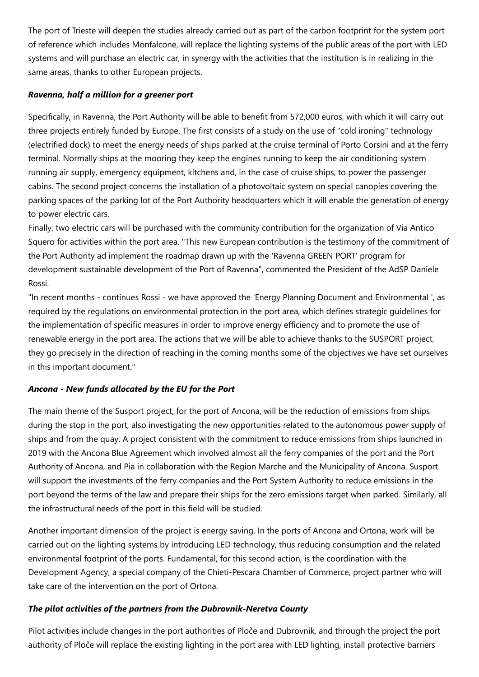The port of Trieste will deepen the studies already carried out as part of the carbon footprint for the system port of reference which includes Monfalcone, will replace the lighting systems of the public areas of the port with LED systems and will purchase an electric car, in synergy with the activities that the institution is in realizing in the same areas, thanks to other European projects.

### *Ravenna, half a million for a greener port*

Specifically, in Ravenna, the Port Authority will be able to benefit from 572,000 euros, with which it will carry out three projects entirely funded by Europe. The first consists of a study on the use of "cold ironing" technology (electrified dock) to meet the energy needs of ships parked at the cruise terminal of Porto Corsini and at the ferry terminal. Normally ships at the mooring they keep the engines running to keep the air conditioning system running air supply, emergency equipment, kitchens and, in the case of cruise ships, to power the passenger cabins. The second project concerns the installation of a photovoltaic system on special canopies covering the parking spaces of the parking lot of the Port Authority headquarters which it will enable the generation of energy to power electric cars.

Finally, two electric cars will be purchased with the community contribution for the organization of Via Antico Squero for activities within the port area. "This new European contribution is the testimony of the commitment of the Port Authority ad implement the roadmap drawn up with the 'Ravenna GREEN PORT' program for development sustainable development of the Port of Ravenna", commented the President of the AdSP Daniele Rossi.

"In recent months - continues Rossi - we have approved the 'Energy Planning Document and Environmental ', as required by the regulations on environmental protection in the port area, which defines strategic guidelines for the implementation of specific measures in order to improve energy efficiency and to promote the use of renewable energy in the port area. The actions that we will be able to achieve thanks to the SUSPORT project, they go precisely in the direction of reaching in the coming months some of the objectives we have set ourselves in this important document."

# *Ancona - New funds allocated by the EU for the Port*

The main theme of the Susport project, for the port of Ancona, will be the reduction of emissions from ships during the stop in the port, also investigating the new opportunities related to the autonomous power supply of ships and from the quay. A project consistent with the commitment to reduce emissions from ships launched in 2019 with the Ancona Blue Agreement which involved almost all the ferry companies of the port and the Port Authority of Ancona, and Pia in collaboration with the Region Marche and the Municipality of Ancona. Susport will support the investments of the ferry companies and the Port System Authority to reduce emissions in the port beyond the terms of the law and prepare their ships for the zero emissions target when parked. Similarly, all the infrastructural needs of the port in this field will be studied.

Another important dimension of the project is energy saving. In the ports of Ancona and Ortona, work will be carried out on the lighting systems by introducing LED technology, thus reducing consumption and the related environmental footprint of the ports. Fundamental, for this second action, is the coordination with the Development Agency, a special company of the Chieti-Pescara Chamber of Commerce, project partner who will take care of the intervention on the port of Ortona.

# *The pilot activities of the partners from the Dubrovnik-Neretva County*

Pilot activities include changes in the port authorities of Ploče and Dubrovnik, and through the project the port authority of Ploče will replace the existing lighting in the port area with LED lighting, install protective barriers